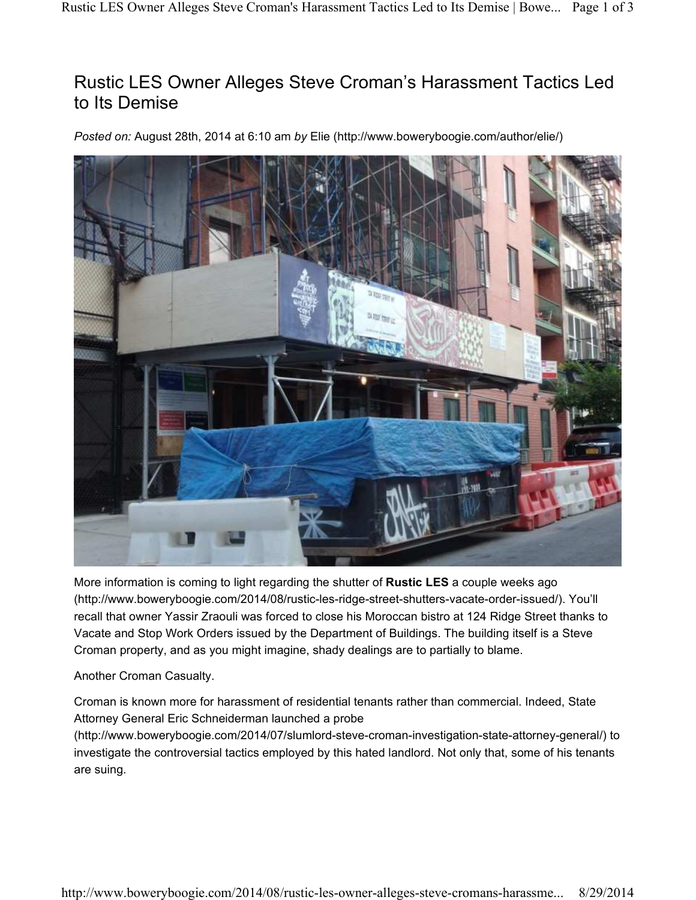## Rustic LES Owner Alleges Steve Croman's Harassment Tactics Led to Its Demise

*Posted on:* August 28th, 2014 at 6:10 am *by* Elie (http://www.boweryboogie.com/author/elie/)



More information is coming to light regarding the shutter of **Rustic LES** a couple weeks ago (http://www.boweryboogie.com/2014/08/rustic-les-ridge-street-shutters-vacate-order-issued/). You'll recall that owner Yassir Zraouli was forced to close his Moroccan bistro at 124 Ridge Street thanks to Vacate and Stop Work Orders issued by the Department of Buildings. The building itself is a Steve Croman property, and as you might imagine, shady dealings are to partially to blame.

Another Croman Casualty.

Croman is known more for harassment of residential tenants rather than commercial. Indeed, State Attorney General Eric Schneiderman launched a probe

(http://www.boweryboogie.com/2014/07/slumlord-steve-croman-investigation-state-attorney-general/) to investigate the controversial tactics employed by this hated landlord. Not only that, some of his tenants are suing.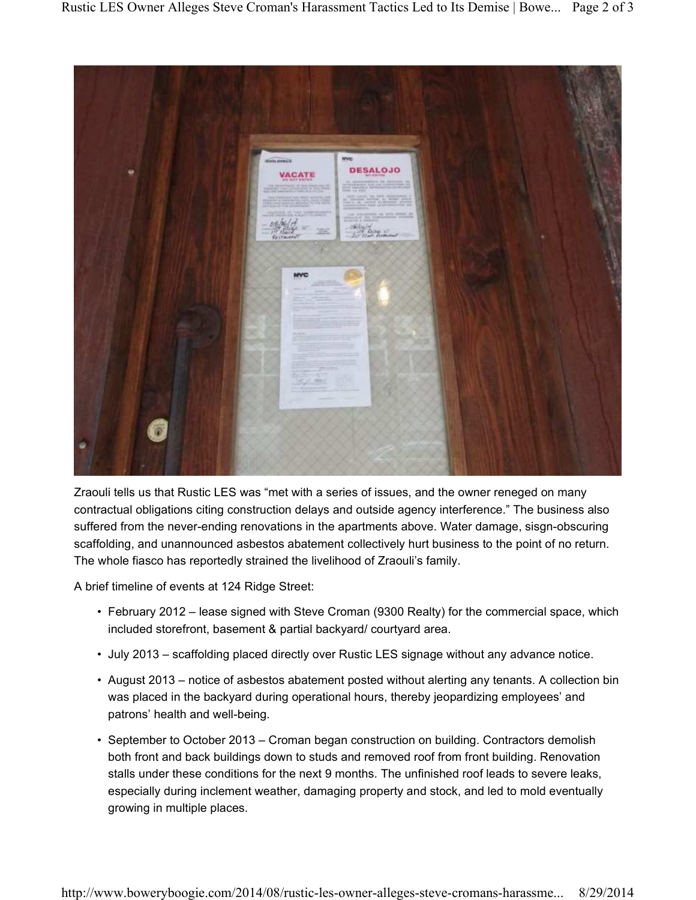

Zraouli tells us that Rustic LES was "met with a series of issues, and the owner reneged on many contractual obligations citing construction delays and outside agency interference." The business also suffered from the never-ending renovations in the apartments above. Water damage, sisgn-obscuring scaffolding, and unannounced asbestos abatement collectively hurt business to the point of no return. The whole fiasco has reportedly strained the livelihood of Zraouli's family.

A brief timeline of events at 124 Ridge Street:

- February 2012 lease signed with Steve Croman (9300 Realty) for the commercial space, which included storefront, basement & partial backyard/ courtyard area.
- July 2013 scaffolding placed directly over Rustic LES signage without any advance notice.
- August 2013 notice of asbestos abatement posted without alerting any tenants. A collection bin was placed in the backyard during operational hours, thereby jeopardizing employees' and patrons' health and well-being.
- September to October 2013 Croman began construction on building. Contractors demolish both front and back buildings down to studs and removed roof from front building. Renovation stalls under these conditions for the next 9 months. The unfinished roof leads to severe leaks, especially during inclement weather, damaging property and stock, and led to mold eventually growing in multiple places.